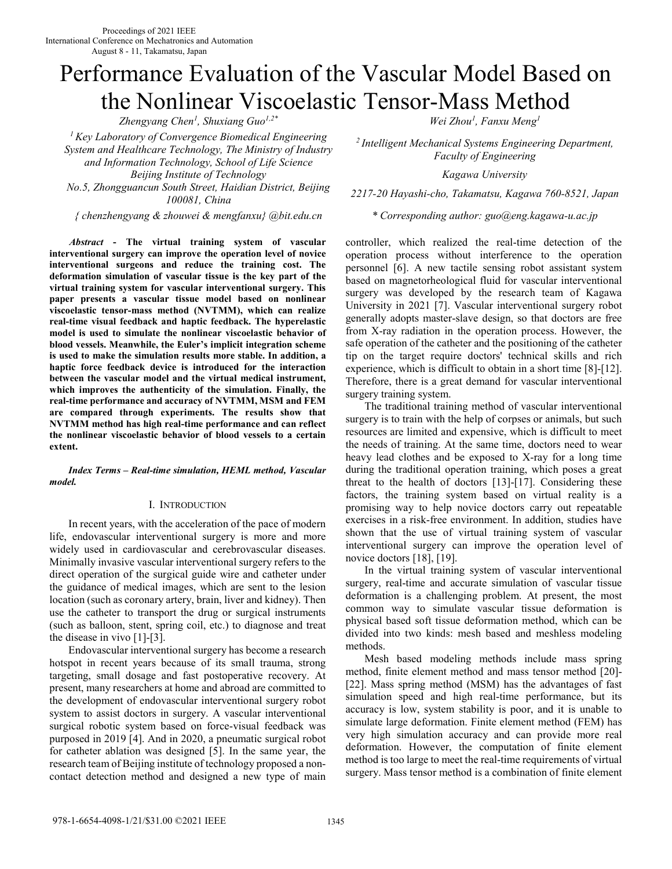# Performance Evaluation of the Vascular Model Based on the Nonlinear Viscoelastic Tensor-Mass Method

*Zhengyang Chen<sup>1</sup> , Shuxiang Guo1,2\* Wei Zhou<sup>1</sup>*

*<sup>1</sup>Key Laboratory of Convergence Biomedical Engineering System and Healthcare Technology, The Ministry of Industry and Information Technology, School of Life Science Beijing Institute of Technology Kagawa University No.5, Zhongguancun South Street, Haidian District, Beijing* 

*{ chenzhengyang & zhouwei & mengfanxu} @bit.edu.cn \* Corresponding author: guo@eng.kagawa-u.ac.jp* 

*Abstract* **- The virtual training system of vascular interventional surgery can improve the operation level of novice interventional surgeons and reduce the training cost. The deformation simulation of vascular tissue is the key part of the virtual training system for vascular interventional surgery. This paper presents a vascular tissue model based on nonlinear viscoelastic tensor-mass method (NVTMM), which can realize real-time visual feedback and haptic feedback. The hyperelastic model is used to simulate the nonlinear viscoelastic behavior of blood vessels. Meanwhile, the Euler's implicit integration scheme is used to make the simulation results more stable. In addition, a haptic force feedback device is introduced for the interaction between the vascular model and the virtual medical instrument, which improves the authenticity of the simulation. Finally, the real-time performance and accuracy of NVTMM, MSM and FEM are compared through experiments. The results show that NVTMM method has high real-time performance and can reflect the nonlinear viscoelastic behavior of blood vessels to a certain extent.** 

*Index Terms – Real-time simulation, HEML method, Vascular model.* 

## I. INTRODUCTION

In recent years, with the acceleration of the pace of modern life, endovascular interventional surgery is more and more widely used in cardiovascular and cerebrovascular diseases. Minimally invasive vascular interventional surgery refers to the direct operation of the surgical guide wire and catheter under the guidance of medical images, which are sent to the lesion location (such as coronary artery, brain, liver and kidney). Then use the catheter to transport the drug or surgical instruments (such as balloon, stent, spring coil, etc.) to diagnose and treat the disease in vivo  $[1]-[3]$ .

 Endovascular interventional surgery has become a research hotspot in recent years because of its small trauma, strong targeting, small dosage and fast postoperative recovery. At present, many researchers at home and abroad are committed to the development of endovascular interventional surgery robot system to assist doctors in surgery. A vascular interventional surgical robotic system based on force-visual feedback was purposed in 2019 [4]. And in 2020, a pneumatic surgical robot for catheter ablation was designed [5]. In the same year, the research team of Beijing institute of technology proposed a noncontact detection method and designed a new type of main

*Wei Zhou<sup>1</sup>*, Fanxu Meng<sup>1</sup>

*<sup>2</sup>Intelligent Mechanical Systems Engineering Department, Faculty of Engineering* 

*100081, China 2217-20 Hayashi-cho, Takamatsu, Kagawa 760-8521, Japan* 

controller, which realized the real-time detection of the operation process without interference to the operation personnel [6]. A new tactile sensing robot assistant system based on magnetorheological fluid for vascular interventional surgery was developed by the research team of Kagawa University in 2021 [7]. Vascular interventional surgery robot generally adopts master-slave design, so that doctors are free from X-ray radiation in the operation process. However, the safe operation of the catheter and the positioning of the catheter tip on the target require doctors' technical skills and rich experience, which is difficult to obtain in a short time [8]-[12]. Therefore, there is a great demand for vascular interventional surgery training system.

 The traditional training method of vascular interventional surgery is to train with the help of corpses or animals, but such resources are limited and expensive, which is difficult to meet the needs of training. At the same time, doctors need to wear heavy lead clothes and be exposed to X-ray for a long time during the traditional operation training, which poses a great threat to the health of doctors [13]-[17]. Considering these factors, the training system based on virtual reality is a promising way to help novice doctors carry out repeatable exercises in a risk-free environment. In addition, studies have shown that the use of virtual training system of vascular interventional surgery can improve the operation level of novice doctors [18], [19].

 In the virtual training system of vascular interventional surgery, real-time and accurate simulation of vascular tissue deformation is a challenging problem. At present, the most common way to simulate vascular tissue deformation is physical based soft tissue deformation method, which can be divided into two kinds: mesh based and meshless modeling methods.

Mesh based modeling methods include mass spring method, finite element method and mass tensor method [20]- [22]. Mass spring method (MSM) has the advantages of fast simulation speed and high real-time performance, but its accuracy is low, system stability is poor, and it is unable to simulate large deformation. Finite element method (FEM) has very high simulation accuracy and can provide more real deformation. However, the computation of finite element method is too large to meet the real-time requirements of virtual surgery. Mass tensor method is a combination of finite element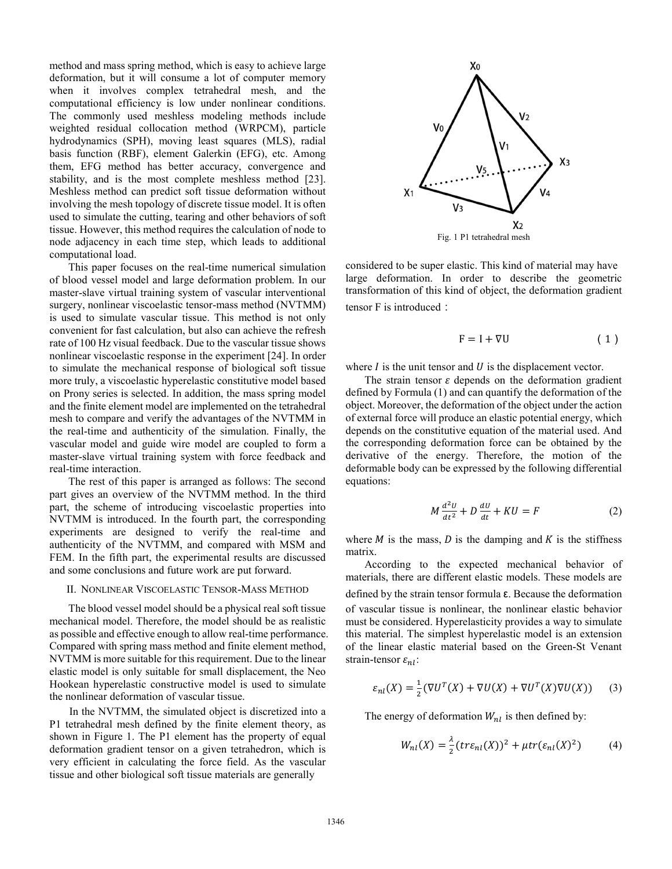method and mass spring method, which is easy to achieve large deformation, but it will consume a lot of computer memory when it involves complex tetrahedral mesh, and the computational efficiency is low under nonlinear conditions. The commonly used meshless modeling methods include weighted residual collocation method (WRPCM), particle hydrodynamics (SPH), moving least squares (MLS), radial basis function (RBF), element Galerkin (EFG), etc. Among them, EFG method has better accuracy, convergence and stability, and is the most complete meshless method [23]. Meshless method can predict soft tissue deformation without involving the mesh topology of discrete tissue model. It is often used to simulate the cutting, tearing and other behaviors of soft tissue. However, this method requires the calculation of node to node adjacency in each time step, which leads to additional computational load.

 This paper focuses on the real-time numerical simulation of blood vessel model and large deformation problem. In our master-slave virtual training system of vascular interventional surgery, nonlinear viscoelastic tensor-mass method (NVTMM) is used to simulate vascular tissue. This method is not only convenient for fast calculation, but also can achieve the refresh rate of 100 Hz visual feedback. Due to the vascular tissue shows nonlinear viscoelastic response in the experiment [24]. In order to simulate the mechanical response of biological soft tissue more truly, a viscoelastic hyperelastic constitutive model based on Prony series is selected. In addition, the mass spring model and the finite element model are implemented on the tetrahedral mesh to compare and verify the advantages of the NVTMM in the real-time and authenticity of the simulation. Finally, the vascular model and guide wire model are coupled to form a master-slave virtual training system with force feedback and real-time interaction.

The rest of this paper is arranged as follows: The second part gives an overview of the NVTMM method. In the third part, the scheme of introducing viscoelastic properties into NVTMM is introduced. In the fourth part, the corresponding experiments are designed to verify the real-time and authenticity of the NVTMM, and compared with MSM and FEM. In the fifth part, the experimental results are discussed and some conclusions and future work are put forward.

#### II. NONLINEAR VISCOELASTIC TENSOR-MASS METHOD

The blood vessel model should be a physical real soft tissue mechanical model. Therefore, the model should be as realistic as possible and effective enough to allow real-time performance. Compared with spring mass method and finite element method, NVTMM is more suitable for this requirement. Due to the linear elastic model is only suitable for small displacement, the Neo Hookean hyperelastic constructive model is used to simulate the nonlinear deformation of vascular tissue.

 In the NVTMM, the simulated object is discretized into a P1 tetrahedral mesh defined by the finite element theory, as shown in Figure 1. The P1 element has the property of equal deformation gradient tensor on a given tetrahedron, which is very efficient in calculating the force field. As the vascular tissue and other biological soft tissue materials are generally



considered to be super elastic. This kind of material may have large deformation. In order to describe the geometric transformation of this kind of object, the deformation gradient tensor F is introduced:

$$
F = I + \nabla U \tag{1}
$$

where  $I$  is the unit tensor and  $U$  is the displacement vector.

The strain tensor  $\varepsilon$  depends on the deformation gradient defined by Formula (1) and can quantify the deformation of the object. Moreover, the deformation of the object under the action of external force will produce an elastic potential energy, which depends on the constitutive equation of the material used. And the corresponding deformation force can be obtained by the derivative of the energy. Therefore, the motion of the deformable body can be expressed by the following differential equations:

$$
M\frac{d^2U}{dt^2} + D\frac{dU}{dt} + KU = F
$$
 (2)

where  $M$  is the mass,  $D$  is the damping and  $K$  is the stiffness matrix.

According to the expected mechanical behavior of materials, there are different elastic models. These models are defined by the strain tensor formula ε. Because the deformation of vascular tissue is nonlinear, the nonlinear elastic behavior must be considered. Hyperelasticity provides a way to simulate this material. The simplest hyperelastic model is an extension of the linear elastic material based on the Green-St Venant strain-tensor  $\varepsilon_{nl}$ :

$$
\varepsilon_{nl}(X) = \frac{1}{2} (\nabla U^T(X) + \nabla U(X) + \nabla U^T(X) \nabla U(X)) \tag{3}
$$

The energy of deformation  $W_{nl}$  is then defined by:

$$
W_{nl}(X) = \frac{\lambda}{2} (tr \varepsilon_{nl}(X))^2 + \mu tr(\varepsilon_{nl}(X)^2)
$$
 (4)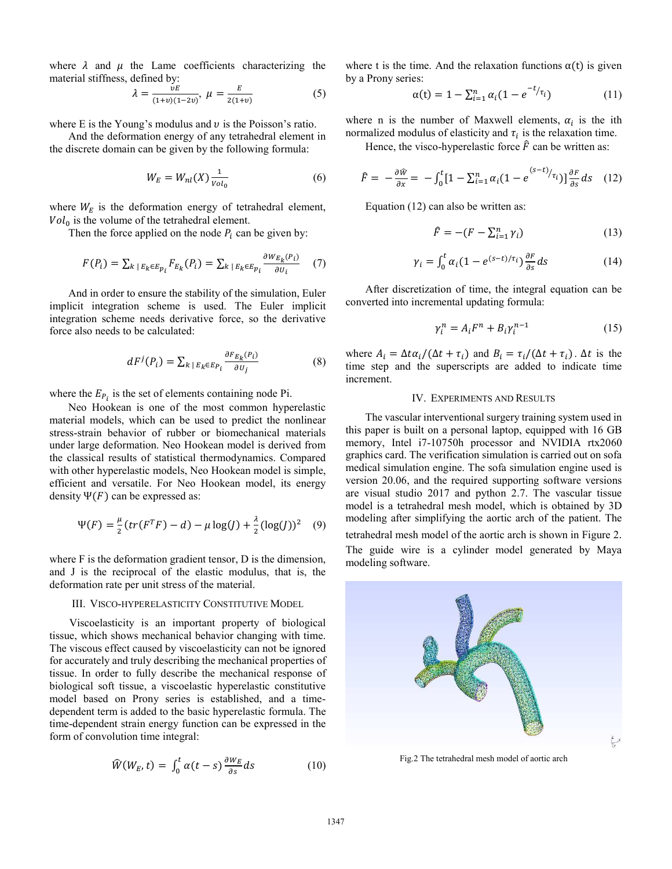where  $\lambda$  and  $\mu$  the Lame coefficients characterizing the material stiffness, defined by:

$$
\lambda = \frac{\nu E}{(1+v)(1-2v)}, \ \mu = \frac{E}{2(1+v)}\tag{5}
$$

where E is the Young's modulus and  $\nu$  is the Poisson's ratio.

And the deformation energy of any tetrahedral element in the discrete domain can be given by the following formula:

$$
W_E = W_{nl}(X) \frac{1}{\nu o l_0} \tag{6}
$$

where  $W_E$  is the deformation energy of tetrahedral element,  $Vol_0$  is the volume of the tetrahedral element.

Then the force applied on the node  $P_i$  can be given by:

$$
F(P_i) = \sum_{k \mid E_k \in E_{p_i}} F_{E_k}(P_i) = \sum_{k \mid E_k \in E_{p_i}} \frac{\partial w_{E_k}(P_i)}{\partial v_i} \quad (7)
$$

And in order to ensure the stability of the simulation, Euler implicit integration scheme is used. The Euler implicit integration scheme needs derivative force, so the derivative force also needs to be calculated:

$$
dF^{j}(P_{i}) = \sum_{k \,|\, E_{k} \in E_{P_{i}}} \frac{\partial F_{E_{k}}(P_{i})}{\partial U_{j}} \tag{8}
$$

where the  $E_{P_i}$  is the set of elements containing node Pi.

Neo Hookean is one of the most common hyperelastic material models, which can be used to predict the nonlinear stress-strain behavior of rubber or biomechanical materials under large deformation. Neo Hookean model is derived from the classical results of statistical thermodynamics. Compared with other hyperelastic models, Neo Hookean model is simple, efficient and versatile. For Neo Hookean model, its energy density  $\Psi(F)$  can be expressed as:

$$
\Psi(F) = \frac{\mu}{2} (tr(F^T F) - d) - \mu \log(J) + \frac{\lambda}{2} (\log(J))^2 \quad (9)
$$

where F is the deformation gradient tensor, D is the dimension, and J is the reciprocal of the elastic modulus, that is, the deformation rate per unit stress of the material.

#### III. VISCO-HYPERELASTICITY CONSTITUTIVE MODEL

 Viscoelasticity is an important property of biological tissue, which shows mechanical behavior changing with time. The viscous effect caused by viscoelasticity can not be ignored for accurately and truly describing the mechanical properties of tissue. In order to fully describe the mechanical response of biological soft tissue, a viscoelastic hyperelastic constitutive model based on Prony series is established, and a timedependent term is added to the basic hyperelastic formula. The time-dependent strain energy function can be expressed in the form of convolution time integral:

$$
\widehat{W}(W_E, t) = \int_0^t \alpha(t - s) \frac{\partial W_E}{\partial s} ds \tag{10}
$$

where t is the time. And the relaxation functions  $\alpha(t)$  is given by a Prony series:

$$
\alpha(t) = 1 - \sum_{i=1}^{n} \alpha_i (1 - e^{-t/\tau_i})
$$
 (11)

where n is the number of Maxwell elements,  $\alpha_i$  is the ith normalized modulus of elasticity and  $\tau_i$  is the relaxation time.

Hence, the visco-hyperelastic force  $\hat{F}$  can be written as:

$$
\hat{F} = -\frac{\partial \hat{w}}{\partial x} = -\int_0^t [1 - \sum_{i=1}^n \alpha_i (1 - e^{(s-t)} / \tau_i)] \frac{\partial F}{\partial s} ds \quad (12)
$$

Equation (12) can also be written as:

$$
\widehat{F} = -(F - \sum_{i=1}^{n} \gamma_i) \tag{13}
$$

$$
\gamma_i = \int_0^t \alpha_i (1 - e^{(s-t)/\tau_i}) \frac{\partial F}{\partial s} ds \tag{14}
$$

 After discretization of time, the integral equation can be converted into incremental updating formula:

$$
\gamma_i^n = A_i F^n + B_i \gamma_i^{n-1} \tag{15}
$$

where  $A_i = \Delta t \alpha_i / (\Delta t + \tau_i)$  and  $B_i = \tau_i / (\Delta t + \tau_i)$ .  $\Delta t$  is the time step and the superscripts are added to indicate time increment.

# IV. EXPERIMENTS AND RESULTS

 The vascular interventional surgery training system used in this paper is built on a personal laptop, equipped with 16 GB memory, Intel i7-10750h processor and NVIDIA rtx2060 graphics card. The verification simulation is carried out on sofa medical simulation engine. The sofa simulation engine used is version 20.06, and the required supporting software versions are visual studio 2017 and python 2.7. The vascular tissue model is a tetrahedral mesh model, which is obtained by 3D modeling after simplifying the aortic arch of the patient. The

tetrahedral mesh model of the aortic arch is shown in Figure 2.

The guide wire is a cylinder model generated by Maya modeling software.



Fig.2 The tetrahedral mesh model of aortic arch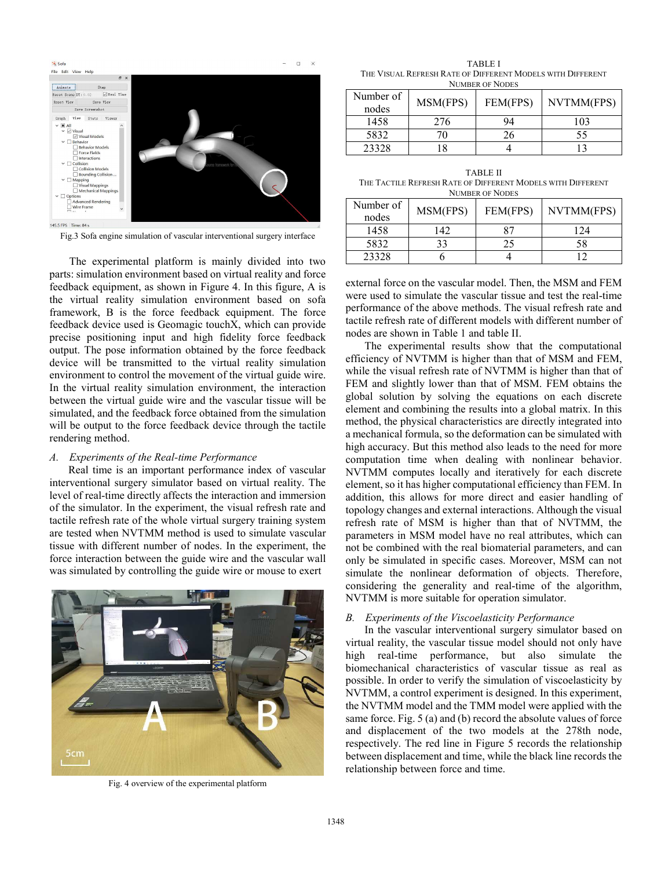

Fig.3 Sofa engine simulation of vascular interventional surgery interface

 The experimental platform is mainly divided into two parts: simulation environment based on virtual reality and force feedback equipment, as shown in Figure 4. In this figure, A is the virtual reality simulation environment based on sofa framework, B is the force feedback equipment. The force feedback device used is Geomagic touchX, which can provide precise positioning input and high fidelity force feedback output. The pose information obtained by the force feedback device will be transmitted to the virtual reality simulation environment to control the movement of the virtual guide wire. In the virtual reality simulation environment, the interaction between the virtual guide wire and the vascular tissue will be simulated, and the feedback force obtained from the simulation will be output to the force feedback device through the tactile rendering method.

#### *A. Experiments of the Real-time Performance*

Real time is an important performance index of vascular interventional surgery simulator based on virtual reality. The level of real-time directly affects the interaction and immersion of the simulator. In the experiment, the visual refresh rate and tactile refresh rate of the whole virtual surgery training system are tested when NVTMM method is used to simulate vascular tissue with different number of nodes. In the experiment, the force interaction between the guide wire and the vascular wall was simulated by controlling the guide wire or mouse to exert



Fig. 4 overview of the experimental platform

TABLE I THE VISUAL REFRESH RATE OF DIFFERENT MODELS WITH DIFFERENT NUMBER OF NODES

| Number of<br>nodes | MSM(FPS) | FEM(FPS) | NVTMM(FPS) |  |  |
|--------------------|----------|----------|------------|--|--|
| 1458               | 276      | 94       | 103        |  |  |
| 5832               |          |          | 55         |  |  |
| 23328              |          |          |            |  |  |

TABLE II THE TACTILE REFRESH RATE OF DIFFERENT MODELS WITH DIFFERENT NUMBER OF NODES

| Number of<br>nodes | MSM(FPS) | FEM(FPS) | NVTMM(FPS) |  |  |
|--------------------|----------|----------|------------|--|--|
| 1458               | 142      | Q7       | 174        |  |  |
| 5832               |          |          | 58         |  |  |
| 23328              |          |          |            |  |  |

external force on the vascular model. Then, the MSM and FEM were used to simulate the vascular tissue and test the real-time performance of the above methods. The visual refresh rate and tactile refresh rate of different models with different number of nodes are shown in Table 1 and table II.

The experimental results show that the computational efficiency of NVTMM is higher than that of MSM and FEM, while the visual refresh rate of NVTMM is higher than that of FEM and slightly lower than that of MSM. FEM obtains the global solution by solving the equations on each discrete element and combining the results into a global matrix. In this method, the physical characteristics are directly integrated into a mechanical formula, so the deformation can be simulated with high accuracy. But this method also leads to the need for more computation time when dealing with nonlinear behavior. NVTMM computes locally and iteratively for each discrete element, so it has higher computational efficiency than FEM. In addition, this allows for more direct and easier handling of topology changes and external interactions. Although the visual refresh rate of MSM is higher than that of NVTMM, the parameters in MSM model have no real attributes, which can not be combined with the real biomaterial parameters, and can only be simulated in specific cases. Moreover, MSM can not simulate the nonlinear deformation of objects. Therefore, considering the generality and real-time of the algorithm, NVTMM is more suitable for operation simulator.

# *B. Experiments of the Viscoelasticity Performance*

 In the vascular interventional surgery simulator based on virtual reality, the vascular tissue model should not only have high real-time performance, but also simulate the biomechanical characteristics of vascular tissue as real as possible. In order to verify the simulation of viscoelasticity by NVTMM, a control experiment is designed. In this experiment, the NVTMM model and the TMM model were applied with the same force. Fig. 5 (a) and (b) record the absolute values of force and displacement of the two models at the 278th node, respectively. The red line in Figure 5 records the relationship between displacement and time, while the black line records the relationship between force and time.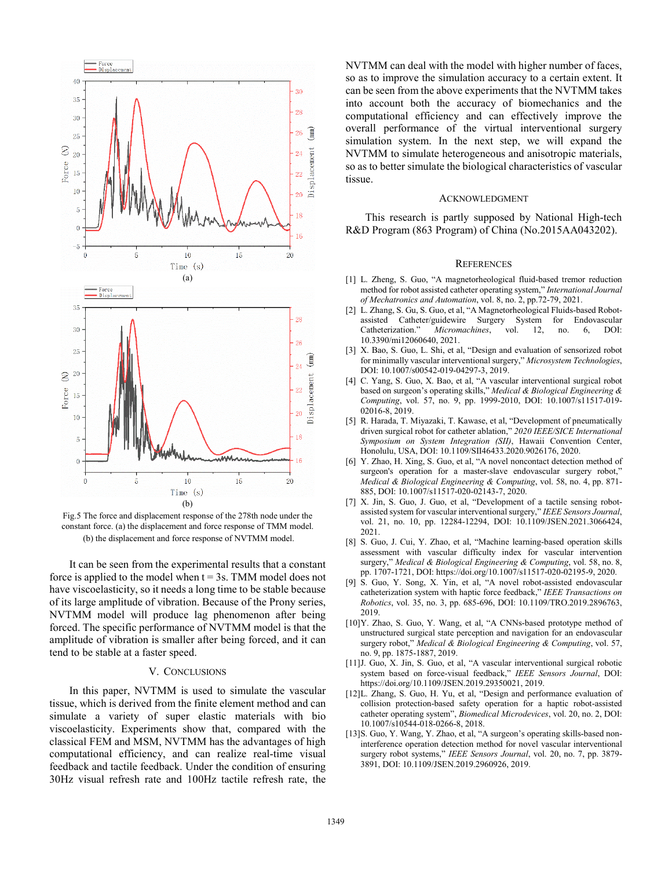

Fig.5 The force and displacement response of the 278th node under the constant force. (a) the displacement and force response of TMM model. (b) the displacement and force response of NVTMM model.

 It can be seen from the experimental results that a constant force is applied to the model when  $t = 3s$ . TMM model does not have viscoelasticity, so it needs a long time to be stable because of its large amplitude of vibration. Because of the Prony series, NVTMM model will produce lag phenomenon after being forced. The specific performance of NVTMM model is that the amplitude of vibration is smaller after being forced, and it can tend to be stable at a faster speed.

#### V. CONCLUSIONS

 In this paper, NVTMM is used to simulate the vascular tissue, which is derived from the finite element method and can simulate a variety of super elastic materials with bio viscoelasticity. Experiments show that, compared with the classical FEM and MSM, NVTMM has the advantages of high computational efficiency, and can realize real-time visual feedback and tactile feedback. Under the condition of ensuring 30Hz visual refresh rate and 100Hz tactile refresh rate, the NVTMM can deal with the model with higher number of faces, so as to improve the simulation accuracy to a certain extent. It can be seen from the above experiments that the NVTMM takes into account both the accuracy of biomechanics and the computational efficiency and can effectively improve the overall performance of the virtual interventional surgery simulation system. In the next step, we will expand the NVTMM to simulate heterogeneous and anisotropic materials, so as to better simulate the biological characteristics of vascular tissue.

### ACKNOWLEDGMENT

 This research is partly supposed by National High-tech R&D Program (863 Program) of China (No.2015AA043202).

## **REFERENCES**

- [1] L. Zheng, S. Guo, "A magnetorheological fluid-based tremor reduction method for robot assisted catheter operating system," *International Journal of Mechatronics and Automation*, vol. 8, no. 2, pp.72-79, 2021.
- [2] L. Zhang, S. Gu, S. Guo, et al, "A Magnetorheological Fluids-based Robotassisted Catheter/guidewire Surgery System for Endovascular<br>Catheterization." Micromachines, vol. 12, no. 6, DOI: Catheterization." Micromachines, vol. 12, no. 10.3390/mi12060640, 2021.
- [3] X. Bao, S. Guo, L. Shi, et al, "Design and evaluation of sensorized robot for minimally vascular interventional surgery," *Microsystem Technologies*, DOI: 10.1007/s00542-019-04297-3, 2019.
- [4] C. Yang, S. Guo, X. Bao, et al, "A vascular interventional surgical robot based on surgeon's operating skills," *Medical & Biological Engineering & Computing*, vol. 57, no. 9, pp. 1999-2010, DOI: 10.1007/s11517-019- 02016-8, 2019.
- [5] R. Harada, T. Miyazaki, T. Kawase, et al, "Development of pneumatically driven surgical robot for catheter ablation," *2020 IEEE/SICE International Symposium on System Integration (SII)*, Hawaii Convention Center, Honolulu, USA, DOI: 10.1109/SII46433.2020.9026176, 2020.
- [6] Y. Zhao, H. Xing, S. Guo, et al, "A novel noncontact detection method of surgeon's operation for a master-slave endovascular surgery robot," *Medical & Biological Engineering & Computing*, vol. 58, no. 4, pp. 871- 885, DOI: 10.1007/s11517-020-02143-7, 2020.
- [7] X. Jin, S. Guo, J. Guo, et al, "Development of a tactile sensing robotassisted system for vascular interventional surgery," *IEEE Sensors Journal*, vol. 21, no. 10, pp. 12284-12294, DOI: 10.1109/JSEN.2021.3066424, 2021.
- [8] S. Guo, J. Cui, Y. Zhao, et al, "Machine learning-based operation skills assessment with vascular difficulty index for vascular intervention surgery," *Medical & Biological Engineering & Computing*, vol. 58, no. 8, pp. 1707-1721, DOI: https://doi.org/10.1007/s11517-020-02195-9, 2020.
- [9] S. Guo, Y. Song, X. Yin, et al, "A novel robot-assisted endovascular catheterization system with haptic force feedback," *IEEE Transactions on Robotics*, vol. 35, no. 3, pp. 685-696, DOI: 10.1109/TRO.2019.2896763, 2019.
- [10]Y. Zhao, S. Guo, Y. Wang, et al, "A CNNs-based prototype method of unstructured surgical state perception and navigation for an endovascular surgery robot," *Medical & Biological Engineering & Computing*, vol. 57, no. 9, pp. 1875-1887, 2019.
- [11]J. Guo, X. Jin, S. Guo, et al, "A vascular interventional surgical robotic system based on force-visual feedback," *IEEE Sensors Journal*, DOI: https://doi.org/10.1109/JSEN.2019.29350021, 2019.
- [12]L. Zhang, S. Guo, H. Yu, et al, "Design and performance evaluation of collision protection-based safety operation for a haptic robot-assisted catheter operating system", *Biomedical Microdevices*, vol. 20, no. 2, DOI: 10.1007/s10544-018-0266-8, 2018.
- [13]S. Guo, Y. Wang, Y. Zhao, et al, "A surgeon's operating skills-based noninterference operation detection method for novel vascular interventional surgery robot systems," *IEEE Sensors Journal*, vol. 20, no. 7, pp. 3879- 3891, DOI: 10.1109/JSEN.2019.2960926, 2019.